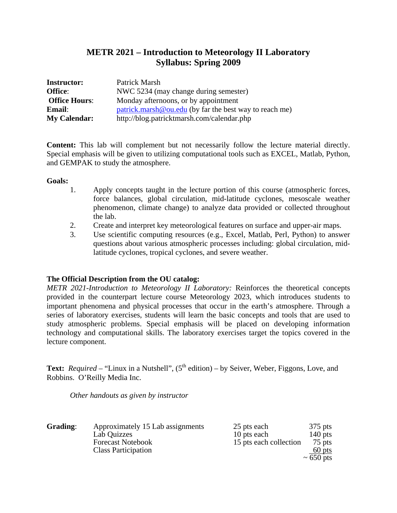# **METR 2021 – Introduction to Meteorology II Laboratory Syllabus: Spring 2009**

| <b>Instructor:</b>   | Patrick Marsh                                          |
|----------------------|--------------------------------------------------------|
| Office:              | NWC 5234 (may change during semester)                  |
| <b>Office Hours:</b> | Monday afternoons, or by appointment                   |
| <b>Email:</b>        | patrick.marsh@ou.edu (by far the best way to reach me) |
| <b>My Calendar:</b>  | http://blog.patricktmarsh.com/calendar.php             |

**Content:** This lab will complement but not necessarily follow the lecture material directly. Special emphasis will be given to utilizing computational tools such as EXCEL, Matlab, Python, and GEMPAK to study the atmosphere.

### **Goals:**

- 1. Apply concepts taught in the lecture portion of this course (atmospheric forces, force balances, global circulation, mid-latitude cyclones, mesoscale weather phenomenon, climate change) to analyze data provided or collected throughout the lab.
- 2. Create and interpret key meteorological features on surface and upper-air maps.
- 3. Use scientific computing resources (e.g., Excel, Matlab, Perl, Python) to answer questions about various atmospheric processes including: global circulation, midlatitude cyclones, tropical cyclones, and severe weather.

# **The Official Description from the OU catalog:**

*METR 2021-Introduction to Meteorology II Laboratory:* Reinforces the theoretical concepts provided in the counterpart lecture course Meteorology 2023, which introduces students to important phenomena and physical processes that occur in the earth's atmosphere. Through a series of laboratory exercises, students will learn the basic concepts and tools that are used to study atmospheric problems. Special emphasis will be placed on developing information technology and computational skills. The laboratory exercises target the topics covered in the lecture component.

**Text:** *Required* – "Linux in a Nutshell",  $(5<sup>th</sup> edition) - by Seiver, Weber, Figgons, Love, and$ Robbins. O'Reilly Media Inc.

*Other handouts as given by instructor* 

| Grading: | Approximately 15 Lab assignments | 25 pts each            | $375$ pts      |
|----------|----------------------------------|------------------------|----------------|
|          | Lab Quizzes                      | 10 pts each            | $140$ pts      |
|          | <b>Forecast Notebook</b>         | 15 pts each collection | $75$ pts       |
|          | <b>Class Participation</b>       |                        | $60$ pts       |
|          |                                  |                        | $\sim 650$ pts |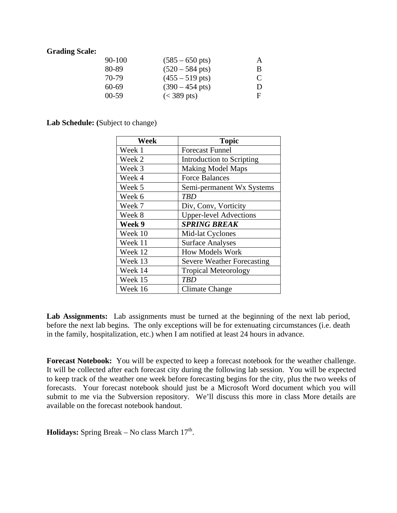### **Grading Scale:**

| 90-100    | $(585 - 650 \text{ pts})$ | A           |
|-----------|---------------------------|-------------|
| 80-89     | $(520 - 584 \text{ pts})$ | В           |
| 70-79     | $(455 - 519 \text{ pts})$ | $\mathbf C$ |
| 60-69     | $(390 - 454 \text{ pts})$ | D           |
| $00 - 59$ | $(< 389 \text{ pts})$     | F           |

**Lab Schedule: (**Subject to change)

| Week    | <b>Topic</b>                      |
|---------|-----------------------------------|
| Week 1  | <b>Forecast Funnel</b>            |
| Week 2  | Introduction to Scripting         |
| Week 3  | <b>Making Model Maps</b>          |
| Week 4  | <b>Force Balances</b>             |
| Week 5  | Semi-permanent Wx Systems         |
| Week 6  | <b>TBD</b>                        |
| Week 7  | Div, Conv, Vorticity              |
| Week 8  | <b>Upper-level Advections</b>     |
| Week 9  | <b>SPRING BREAK</b>               |
| Week 10 | Mid-lat Cyclones                  |
| Week 11 | <b>Surface Analyses</b>           |
| Week 12 | <b>How Models Work</b>            |
| Week 13 | <b>Severe Weather Forecasting</b> |
| Week 14 | <b>Tropical Meteorology</b>       |
| Week 15 | TBD                               |
| Week 16 | Climate Change                    |

Lab Assignments: Lab assignments must be turned at the beginning of the next lab period, before the next lab begins. The only exceptions will be for extenuating circumstances (i.e. death in the family, hospitalization, etc.) when I am notified at least 24 hours in advance.

**Forecast Notebook:** You will be expected to keep a forecast notebook for the weather challenge. It will be collected after each forecast city during the following lab session. You will be expected to keep track of the weather one week before forecasting begins for the city, plus the two weeks of forecasts. Your forecast notebook should just be a Microsoft Word document which you will submit to me via the Subversion repository. We'll discuss this more in class More details are available on the forecast notebook handout.

**Holidays:** Spring Break – No class March  $17<sup>th</sup>$ .